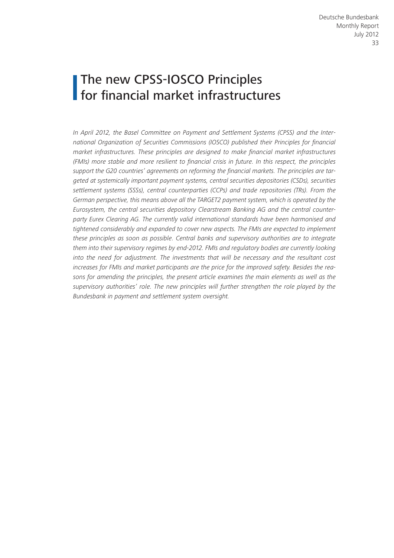# The new CPSS-IOSCO Principles for financial market infrastructures

*In April 2012, the Basel Committee on Payment and Settlement Systems (CPSS) and the International Organization of Securities Commissions (IOSCO) published their Principles for financial market infrastructures. These principles are designed to make financial market infrastructures (FMIs) more stable and more resilient to financial crisis in future. In this respect, the principles support the G20 countries' agreements on reforming the financial markets. The principles are targeted at systemically important payment systems, central securities depositories (CSDs), securities settlement systems (SSSs), central counterparties (CCPs) and trade repositories (TRs). From the German perspective, this means above all the TARGET2 payment system, which is operated by the Eurosystem, the central securities depository Clearstream Banking AG and the central counterparty Eurex Clearing AG. The currently valid international standards have been harmonised and tightened considerably and expanded to cover new aspects. The FMIs are expected to implement these principles as soon as possible. Central banks and supervisory authorities are to integrate them into their supervisory regimes by end-2012. FMIs and regulatory bodies are currently looking into the need for adjustment. The investments that will be necessary and the resultant cost increases for FMIs and market participants are the price for the improved safety. Besides the reasons for amending the principles, the present article examines the main elements as well as the supervisory authorities' role. The new principles will further strengthen the role played by the Bundesbank in payment and settlement system oversight.*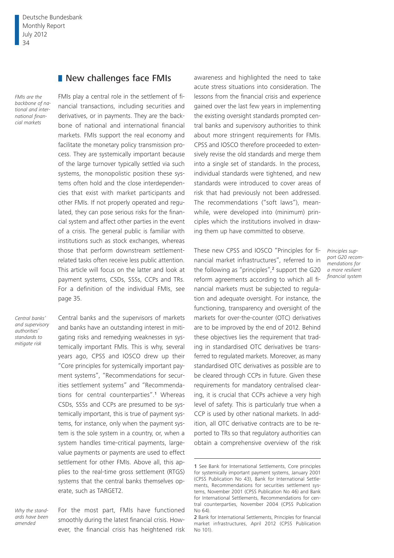Deutsche Bundesbank Monthly Report July 2012 34

## New challenges face FMIs

*FMIs are the backbone of national and international financial markets*

FMIs play a central role in the settlement of financial transactions, including securities and derivatives, or in payments. They are the backbone of national and international financial markets. FMIs support the real economy and facilitate the monetary policy transmission process. They are systemically important because of the large turnover typically settled via such systems, the monopolistic position these systems often hold and the close interdependencies that exist with market participants and other FMIs. If not properly operated and regulated, they can pose serious risks for the financial system and affect other parties in the event of a crisis. The general public is familiar with institutions such as stock exchanges, whereas those that perform downstream settlementrelated tasks often receive less public attention. This article will focus on the latter and look at payment systems, CSDs, SSSs, CCPs and TRs. For a definition of the individual FMIs, see page 35.

*Central banks' and supervisory authorities' standards to mitigate risk*

Central banks and the supervisors of markets and banks have an outstanding interest in mitigating risks and remedying weaknesses in systemically important FMIs. This is why, several years ago, CPSS and IOSCO drew up their "Core principles for systemically important payment systems", "Recommendations for securities settlement systems" and "Recommendations for central counterparties".1 Whereas CSDs, SSSs and CCPs are presumed to be systemically important, this is true of payment systems, for instance, only when the payment system is the sole system in a country, or, when a system handles time-critical payments, largevalue payments or payments are used to effect settlement for other FMIs. Above all, this applies to the real-time gross settlement (RTGS) systems that the central banks themselves operate, such as TARGET2.

*Why the standards have been amended*

For the most part, FMIs have functioned smoothly during the latest financial crisis. However, the financial crisis has heightened risk

awareness and highlighted the need to take acute stress situations into consideration. The lessons from the financial crisis and experience gained over the last few years in implementing the existing oversight standards prompted central banks and supervisory authorities to think about more stringent requirements for FMIs. CPSS and IOSCO therefore proceeded to extensively revise the old standards and merge them into a single set of standards. In the process, individual standards were tightened, and new standards were introduced to cover areas of risk that had previously not been addressed. The recommendations ("soft laws"), meanwhile, were developed into (minimum) principles which the institutions involved in drawing them up have committed to observe.

These new CPSS and IOSCO "Principles for financial market infrastructures", referred to in the following as "principles",<sup>2</sup> support the G20 reform agreements according to which all financial markets must be subjected to regulation and adequate oversight. For instance, the functioning, transparency and oversight of the markets for over-the-counter (OTC) derivatives are to be improved by the end of 2012. Behind these objectives lies the requirement that trading in standardised OTC derivatives be transferred to regulated markets. Moreover, as many standardised OTC derivatives as possible are to be cleared through CCPs in future. Given these requirements for mandatory centralised clearing, it is crucial that CCPs achieve a very high level of safety. This is particularly true when a CCP is used by other national markets. In addition, all OTC derivative contracts are to be reported to TRs so that regulatory authorities can obtain a comprehensive overview of the risk

*Principles support G20 recommendations for a more resilient financial system*

<sup>1</sup> See Bank for International Settlements, Core principles for systemically important payment systems, January 2001 (CPSS Publication No 43), Bank for International Settlements, Recommendations for securities settlement systems, November 2001 (CPSS Publication No 46) and Bank for International Settlements, Recommendations for central counterparties, November 2004 (CPSS Publication No 64)

<sup>2</sup> Bank for International Settlements, Principles for financial market infrastructures, April 2012 (CPSS Publication No 101).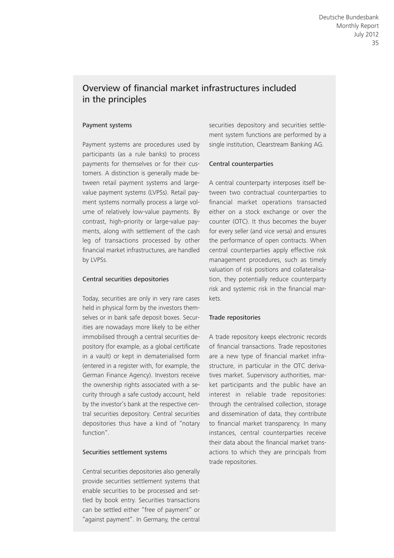# Overview of financial market infrastructures included in the principles

#### Payment systems

Payment systems are procedures used by participants (as a rule banks) to process payments for themselves or for their customers. A distinction is generally made between retail payment systems and largevalue payment systems (LVPSs). Retail payment systems normally process a large volume of relatively low-value payments. By contrast, high-priority or large-value payments, along with settlement of the cash leg of transactions processed by other financial market infrastructures, are handled by LVPSs.

#### Central securities depositories

Today, securities are only in very rare cases held in physical form by the investors themselves or in bank safe deposit boxes. Securities are nowadays more likely to be either immobilised through a central securities depository (for example, as a global certificate in a vault) or kept in dematerialised form (entered in a register with, for example, the German Finance Agency). Investors receive the ownership rights associated with a security through a safe custody account, held by the investor's bank at the respective central securities depository. Central securities depositories thus have a kind of "notary function".

#### Securities settlement systems

Central securities depositories also generally provide securities settlement systems that enable securities to be processed and settled by book entry. Securities transactions can be settled either "free of payment" or "against payment". In Germany, the central

securities depository and securities settlement system functions are performed by a single institution, Clearstream Banking AG.

#### Central counterparties

A central counterparty interposes itself between two contractual counterparties to financial market operations transacted either on a stock exchange or over the counter (OTC). It thus becomes the buyer for every seller (and vice versa) and ensures the performance of open contracts. When central counterparties apply effective risk management procedures, such as timely valuation of risk positions and collateralisation, they potentially reduce counterparty risk and systemic risk in the financial markets.

#### Trade repositories

A trade repository keeps electronic records of financial transactions. Trade repositories are a new type of financial market infrastructure, in particular in the OTC derivatives market. Supervisory authorities, market participants and the public have an interest in reliable trade repositories: through the centralised collection, storage and dissemination of data, they contribute to financial market transparency. In many instances, central counterparties receive their data about the financial market transactions to which they are principals from trade repositories.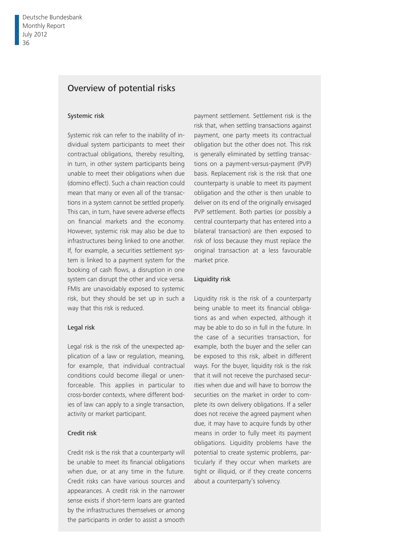# Overview of potential risks

#### Systemic risk

Systemic risk can refer to the inability of individual system participants to meet their contractual obligations, thereby resulting, in turn, in other system participants being unable to meet their obligations when due (domino effect). Such a chain reaction could mean that many or even all of the transactions in a system cannot be settled properly. This can, in turn, have severe adverse effects on financial markets and the economy. However, systemic risk may also be due to infrastructures being linked to one another. If, for example, a securities settlement system is linked to a payment system for the booking of cash flows, a disruption in one system can disrupt the other and vice versa. FMIs are unavoidably exposed to systemic risk, but they should be set up in such a way that this risk is reduced.

#### Legal risk

Legal risk is the risk of the unexpected application of a law or regulation, meaning, for example, that individual contractual conditions could become illegal or unenforceable. This applies in particular to cross-border contexts, where different bodies of law can apply to a single transaction, activity or market participant.

#### Credit risk

Credit risk is the risk that a counterparty will be unable to meet its financial obligations when due, or at any time in the future. Credit risks can have various sources and appearances. A credit risk in the narrower sense exists if short-term loans are granted by the infrastructures themselves or among the participants in order to assist a smooth

payment settlement. Settlement risk is the risk that, when settling transactions against payment, one party meets its contractual obligation but the other does not. This risk is generally eliminated by settling transactions on a payment-versus-payment (PVP) basis. Replacement risk is the risk that one counterparty is unable to meet its payment obligation and the other is then unable to deliver on its end of the originally envisaged PVP settlement. Both parties (or possibly a central counterparty that has entered into a bilateral transaction) are then exposed to risk of loss because they must replace the original transaction at a less favourable market price.

#### Liquidity risk

Liquidity risk is the risk of a counterparty being unable to meet its financial obligations as and when expected, although it may be able to do so in full in the future. In the case of a securities transaction, for example, both the buyer and the seller can be exposed to this risk, albeit in different ways. For the buyer, liquidity risk is the risk that it will not receive the purchased securities when due and will have to borrow the securities on the market in order to complete its own delivery obligations. If a seller does not receive the agreed payment when due, it may have to acquire funds by other means in order to fully meet its payment obligations. Liquidity problems have the potential to create systemic problems, particularly if they occur when markets are tight or illiquid, or if they create concerns about a counterparty's solvency.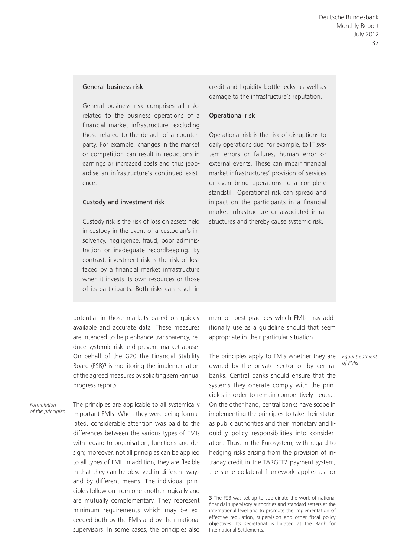#### General business risk

General business risk comprises all risks related to the business operations of a financial market infrastructure, excluding those related to the default of a counterparty. For example, changes in the market or competition can result in reductions in earnings or increased costs and thus jeopardise an infrastructure's continued existence.

#### Custody and investment risk

Custody risk is the risk of loss on assets held in custody in the event of a custodian's insolvency, negligence, fraud, poor administration or inadequate recordkeeping. By contrast, investment risk is the risk of loss faced by a financial market infrastructure when it invests its own resources or those of its participants. Both risks can result in

credit and liquidity bottlenecks as well as damage to the infrastructure's reputation.

#### Operational risk

Operational risk is the risk of disruptions to daily operations due, for example, to IT system errors or failures, human error or external events. These can impair financial market infrastructures' provision of services or even bring operations to a complete standstill. Operational risk can spread and impact on the participants in a financial market infrastructure or associated infrastructures and thereby cause systemic risk.

potential in those markets based on quickly available and accurate data. These measures are intended to help enhance transparency, reduce systemic risk and prevent market abuse. On behalf of the G20 the Financial Stability Board (FSB)<sup>3</sup> is monitoring the implementation of the agreed measures by soliciting semi-annual progress reports.

*Formulation of the principles* The principles are applicable to all systemically important FMIs. When they were being formulated, considerable attention was paid to the differences between the various types of FMIs with regard to organisation, functions and design; moreover, not all principles can be applied to all types of FMI. In addition, they are flexible in that they can be observed in different ways and by different means. The individual principles follow on from one another logically and are mutually complementary. They represent minimum requirements which may be exceeded both by the FMIs and by their national supervisors. In some cases, the principles also mention best practices which FMIs may additionally use as a guideline should that seem appropriate in their particular situation.

The principles apply to FMIs whether they are owned by the private sector or by central banks. Central banks should ensure that the systems they operate comply with the principles in order to remain competitively neutral. On the other hand, central banks have scope in implementing the principles to take their status as public authorities and their monetary and liquidity policy responsibilities into consideration. Thus, in the Eurosystem, with regard to hedging risks arising from the provision of intraday credit in the TARGET2 payment system, the same collateral framework applies as for

*Equal treatment of FMIs*

<sup>3</sup> The FSB was set up to coordinate the work of national financial supervisory authorities and standard setters at the international level and to promote the implementation of effective regulation, supervision and other fiscal policy objectives. Its secretariat is located at the Bank for International Settlements.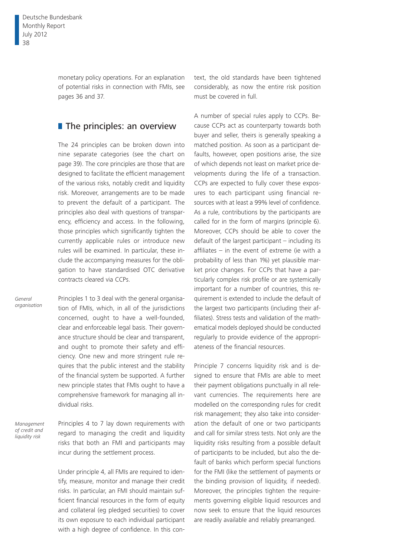monetary policy operations. For an explanation of potential risks in connection with FMIs, see pages 36 and 37.

## $\blacksquare$  The principles: an overview

The 24 principles can be broken down into nine separate categories (see the chart on page 39). The core principles are those that are designed to facilitate the efficient management of the various risks, notably credit and liquidity risk. Moreover, arrangements are to be made to prevent the default of a participant. The principles also deal with questions of transparency, efficiency and access. In the following, those principles which significantly tighten the currently applicable rules or introduce new rules will be examined. In particular, these include the accompanying measures for the obligation to have standardised OTC derivative contracts cleared via CCPs.

*General organisation* Principles 1 to 3 deal with the general organisation of FMIs, which, in all of the jurisdictions concerned, ought to have a well-founded, clear and enforceable legal basis. Their governance structure should be clear and transparent, and ought to promote their safety and efficiency. One new and more stringent rule requires that the public interest and the stability of the financial system be supported. A further new principle states that FMIs ought to have a comprehensive framework for managing all individual risks.

*Management of credit and liquidity risk*

Principles 4 to 7 lay down requirements with regard to managing the credit and liquidity risks that both an FMI and participants may incur during the settlement process.

Under principle 4, all FMIs are required to identify, measure, monitor and manage their credit risks. In particular, an FMI should maintain sufficient financial resources in the form of equity and collateral (eg pledged securities) to cover its own exposure to each individual participant with a high degree of confidence. In this context, the old standards have been tightened considerably, as now the entire risk position must be covered in full.

A number of special rules apply to CCPs. Because CCPs act as counterparty towards both buyer and seller, theirs is generally speaking a matched position. As soon as a participant defaults, however, open positions arise, the size of which depends not least on market price developments during the life of a transaction. CCPs are expected to fully cover these exposures to each participant using financial resources with at least a 99% level of confidence. As a rule, contributions by the participants are called for in the form of margins (principle 6). Moreover, CCPs should be able to cover the default of the largest participant – including its affiliates – in the event of extreme (ie with a probability of less than 1%) yet plausible market price changes. For CCPs that have a particularly complex risk profile or are systemically important for a number of countries, this requirement is extended to include the default of the largest two participants (including their affiliates). Stress tests and validation of the mathematical models deployed should be conducted regularly to provide evidence of the appropriateness of the financial resources.

Principle 7 concerns liquidity risk and is designed to ensure that FMIs are able to meet their payment obligations punctually in all relevant currencies. The requirements here are modelled on the corresponding rules for credit risk management; they also take into consideration the default of one or two participants and call for similar stress tests. Not only are the liquidity risks resulting from a possible default of participants to be included, but also the default of banks which perform special functions for the FMI (like the settlement of payments or the binding provision of liquidity, if needed). Moreover, the principles tighten the requirements governing eligible liquid resources and now seek to ensure that the liquid resources are readily available and reliably prearranged.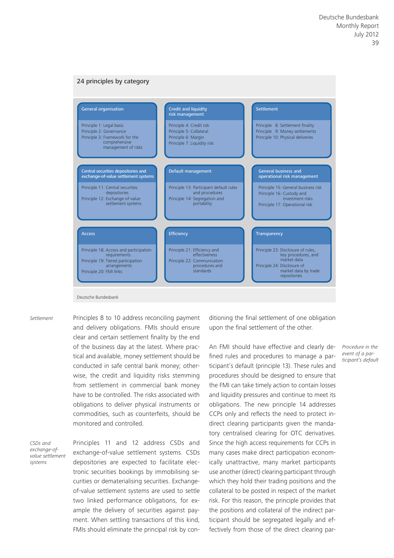#### 24 principles by category

| <b>General organisation</b>                                                                                                             | <b>Credit and liquidity</b><br>risk management                                                              | <b>Settlement</b>                                                                                                                               |
|-----------------------------------------------------------------------------------------------------------------------------------------|-------------------------------------------------------------------------------------------------------------|-------------------------------------------------------------------------------------------------------------------------------------------------|
| Principle 1: Legal basis<br>Principle 2: Governance<br>Principle 3: Framework for the<br>comprehensive<br>management of risks           | Principle 4: Credit risk<br>Principle 5: Collateral<br>Principle 6: Margin<br>Principle 7: Liquidity risk   | Principle 8: Settlement finality<br>Principle 9: Money settlements<br>Principle 10: Physical deliveries                                         |
| Central securities depositories and<br>exchange-of-value settlement systems                                                             | Default management                                                                                          | <b>General business and</b><br>operational risk management                                                                                      |
| Principle 11: Central securities<br>depositories<br>Principle 12: Exchange-of-value<br>settlement systems                               | Principle 13: Participant default rules<br>and procedures<br>Principle 14: Segregation and<br>portability   | Principle 15: General business risk<br>Principle 16: Custody and<br>investment risks<br>Principle 17: Operational risk                          |
| <b>Access</b>                                                                                                                           | <b>Efficiency</b>                                                                                           | <b>Transparency</b>                                                                                                                             |
| Principle 18: Access and participation<br>requirements<br>Principle 19: Tiered participation<br>arrangements<br>Principle 20: FMI links | Principle 21: Efficiency and<br>effectiveness<br>Principle 22: Communication<br>procedures and<br>standards | Principle 23: Disclosure of rules,<br>key procedures, and<br>market data<br>Principle 24: Disclosure of<br>market data by trade<br>repositories |

*Settlement*

Principles 8 to 10 address reconciling payment and delivery obligations. FMIs should ensure clear and certain settlement finality by the end of the business day at the latest. Where practical and available, money settlement should be conducted in safe central bank money; otherwise, the credit and liquidity risks stemming from settlement in commercial bank money have to be controlled. The risks associated with obligations to deliver physical instruments or commodities, such as counterfeits, should be monitored and controlled.

*CSDs and exchange-ofvalue settlement systems*

Principles 11 and 12 address CSDs and exchange-of-value settlement systems. CSDs depositories are expected to facilitate electronic securities bookings by immobilising securities or dematerialising securities. Exchangeof-value settlement systems are used to settle two linked performance obligations, for example the delivery of securities against payment. When settling transactions of this kind, FMIs should eliminate the principal risk by conditioning the final settlement of one obligation upon the final settlement of the other.

An FMI should have effective and clearly defined rules and procedures to manage a participant's default (principle 13). These rules and procedures should be designed to ensure that the FMI can take timely action to contain losses and liquidity pressures and continue to meet its obligations. The new principle 14 addresses CCPs only and reflects the need to protect indirect clearing participants given the mandatory centralised clearing for OTC derivatives. Since the high access requirements for CCPs in many cases make direct participation economically unattractive, many market participants use another (direct) clearing participant through which they hold their trading positions and the collateral to be posted in respect of the market risk. For this reason, the principle provides that the positions and collateral of the indirect participant should be segregated legally and effectively from those of the direct clearing par-

*Procedure in the event of a participant's default*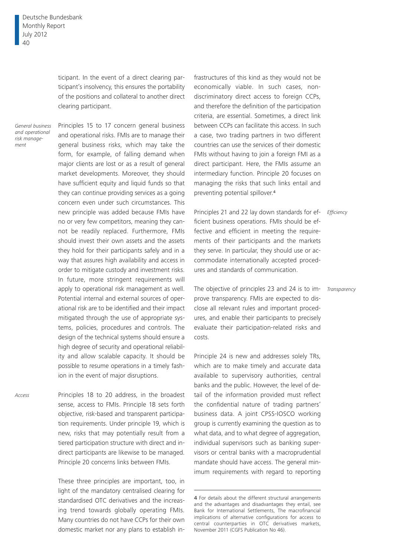ticipant. In the event of a direct clearing participant's insolvency, this ensures the portability of the positions and collateral to another direct clearing participant.

*General business and operational risk management*

Principles 15 to 17 concern general business and operational risks. FMIs are to manage their general business risks, which may take the form, for example, of falling demand when major clients are lost or as a result of general market developments. Moreover, they should have sufficient equity and liquid funds so that they can continue providing services as a going concern even under such circumstances. This new principle was added because FMIs have no or very few competitors, meaning they cannot be readily replaced. Furthermore, FMIs should invest their own assets and the assets they hold for their participants safely and in a way that assures high availability and access in order to mitigate custody and investment risks. In future, more stringent requirements will apply to operational risk management as well. Potential internal and external sources of operational risk are to be identified and their impact mitigated through the use of appropriate systems, policies, procedures and controls. The design of the technical systems should ensure a high degree of security and operational reliability and allow scalable capacity. It should be possible to resume operations in a timely fashion in the event of major disruptions.

Principles 18 to 20 address, in the broadest sense, access to FMIs. Principle 18 sets forth objective, risk-based and transparent participation requirements. Under principle 19, which is new, risks that may potentially result from a tiered participation structure with direct and indirect participants are likewise to be managed. Principle 20 concerns links between FMIs.

These three principles are important, too, in light of the mandatory centralised clearing for standardised OTC derivatives and the increasing trend towards globally operating FMIs. Many countries do not have CCPs for their own domestic market nor any plans to establish in-

frastructures of this kind as they would not be economically viable. In such cases, nondiscriminatory direct access to foreign CCPs, and therefore the definition of the participation criteria, are essential. Sometimes, a direct link between CCPs can facilitate this access. In such a case, two trading partners in two different countries can use the services of their domestic FMIs without having to join a foreign FMI as a direct participant. Here, the FMIs assume an intermediary function. Principle 20 focuses on managing the risks that such links entail and preventing potential spillover.<sup>4</sup>

Principles 21 and 22 lay down standards for ef-*Efficiency* ficient business operations. FMIs should be effective and efficient in meeting the requirements of their participants and the markets they serve. In particular, they should use or accommodate internationally accepted procedures and standards of communication.

The objective of principles 23 and 24 is to improve transparency. FMIs are expected to disclose all relevant rules and important procedures, and enable their participants to precisely evaluate their participation-related risks and costs. *Transparency*

Principle 24 is new and addresses solely TRs, which are to make timely and accurate data available to supervisory authorities, central banks and the public. However, the level of detail of the information provided must reflect the confidential nature of trading partners' business data. A joint CPSS-IOSCO working group is currently examining the question as to what data, and to what degree of aggregation, individual supervisors such as banking supervisors or central banks with a macroprudential mandate should have access. The general minimum requirements with regard to reporting

*Access*

<sup>4</sup> For details about the different structural arrangements and the advantages and disadvantages they entail, see Bank for International Settlements, The macrofinancial implications of alternative configurations for access to central counterparties in OTC derivatives markets, November 2011 (CGFS Publication No 46).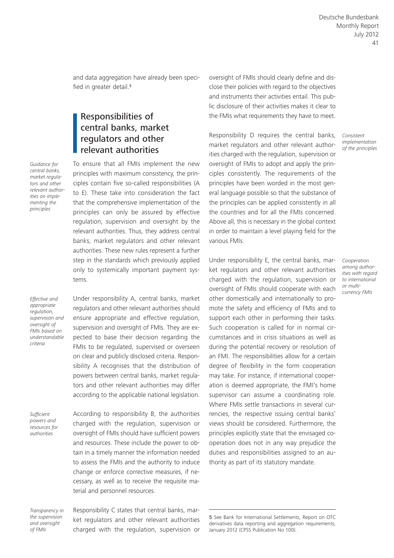and data aggregation have already been specified in greater detail.<sup>5</sup>

# Responsibilities of central banks, market regulators and other relevant authorities

To ensure that all FMIs implement the new principles with maximum consistency, the principles contain five so-called responsibilities (A to E). These take into consideration the fact that the comprehensive implementation of the principles can only be assured by effective regulation, supervision and oversight by the relevant authorities. Thus, they address central banks, market regulators and other relevant authorities. These new rules represent a further step in the standards which previously applied only to systemically important payment systems.

*Effective and appropriate regulation, supervision and oversight of FMIs based on understandable criteria*

*Guidance for central banks, market regulators and other relevant authorities on implementing the principles*

> Under responsibility A, central banks, market regulators and other relevant authorities should ensure appropriate and effective regulation, supervision and oversight of FMIs. They are expected to base their decision regarding the FMIs to be regulated, supervised or overseen on clear and publicly disclosed criteria. Responsibility A recognises that the distribution of powers between central banks, market regulators and other relevant authorities may differ according to the applicable national legislation.

*Sufficient powers and resources for authorities*

According to responsibility B, the authorities charged with the regulation, supervision or oversight of FMIs should have sufficient powers and resources. These include the power to obtain in a timely manner the information needed to assess the FMIs and the authority to induce change or enforce corrective measures, if necessary, as well as to receive the requisite material and personnel resources.

*Transparency in the supervision and oversight of FMIs*

Responsibility C states that central banks, market regulators and other relevant authorities charged with the regulation, supervision or oversight of FMIs should clearly define and disclose their policies with regard to the objectives and instruments their activities entail. This public disclosure of their activities makes it clear to the FMIs what requirements they have to meet.

Responsibility D requires the central banks, market regulators and other relevant authorities charged with the regulation, supervision or oversight of FMIs to adopt and apply the principles consistently. The requirements of the principles have been worded in the most general language possible so that the substance of the principles can be applied consistently in all the countries and for all the FMIs concerned. Above all, this is necessary in the global context in order to maintain a level playing field for the various FMIs.

Under responsibility E, the central banks, market regulators and other relevant authorities charged with the regulation, supervision or oversight of FMIs should cooperate with each other domestically and internationally to promote the safety and efficiency of FMIs and to support each other in performing their tasks. Such cooperation is called for in normal circumstances and in crisis situations as well as during the potential recovery or resolution of an FMI. The responsibilities allow for a certain degree of flexibility in the form cooperation may take. For instance, if international cooperation is deemed appropriate, the FMI's home supervisor can assume a coordinating role. Where FMIs settle transactions in several currencies, the respective issuing central banks' views should be considered. Furthermore, the principles explicitly state that the envisaged cooperation does not in any way prejudice the duties and responsibilities assigned to an authority as part of its statutory mandate.

5 See Bank for International Settlements, Report on OTC derivatives data reporting and aggregation requirements, January 2012 (CPSS Publication No 100).

*Consistent implementation of the principles*

*Cooperation among authorities with regard to international or multicurrency FMIs*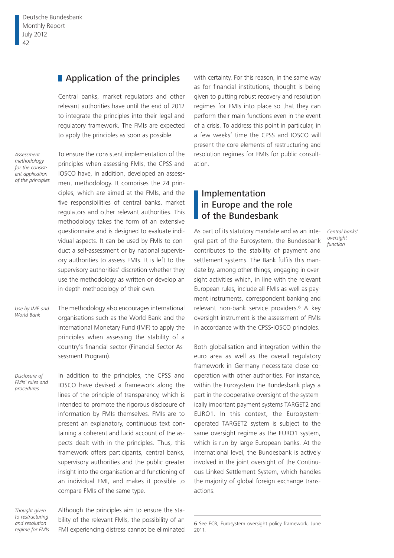## **Application of the principles**

Central banks, market regulators and other relevant authorities have until the end of 2012 to integrate the principles into their legal and regulatory framework. The FMIs are expected to apply the principles as soon as possible.

*Assessment methodology for the consistent application of the principles* To ensure the consistent implementation of the principles when assessing FMIs, the CPSS and IOSCO have, in addition, developed an assessment methodology. It comprises the 24 principles, which are aimed at the FMIs, and the five responsibilities of central banks, market regulators and other relevant authorities. This methodology takes the form of an extensive questionnaire and is designed to evaluate individual aspects. It can be used by FMIs to conduct a self-assessment or by national supervisory authorities to assess FMIs. It is left to the supervisory authorities' discretion whether they use the methodology as written or develop an in-depth methodology of their own.

The methodology also encourages international organisations such as the World Bank and the International Monetary Fund (IMF) to apply the principles when assessing the stability of a country's financial sector (Financial Sector Assessment Program). *Use by IMF and World Bank*

*Disclosure of FMIs' rules and procedures*

In addition to the principles, the CPSS and IOSCO have devised a framework along the lines of the principle of transparency, which is intended to promote the rigorous disclosure of information by FMIs themselves. FMIs are to present an explanatory, continuous text containing a coherent and lucid account of the aspects dealt with in the principles. Thus, this framework offers participants, central banks, supervisory authorities and the public greater insight into the organisation and functioning of an individual FMI, and makes it possible to compare FMIs of the same type.

*Thought given to restructuring and resolution regime for FMIs* Although the principles aim to ensure the stability of the relevant FMIs, the possibility of an FMI experiencing distress cannot be eliminated

with certainty. For this reason, in the same way as for financial institutions, thought is being given to putting robust recovery and resolution regimes for FMIs into place so that they can perform their main functions even in the event of a crisis. To address this point in particular, in a few weeks' time the CPSS and IOSCO will present the core elements of restructuring and resolution regimes for FMIs for public consultation.

# Implementation in Europe and the role of the Bundesbank

As part of its statutory mandate and as an integral part of the Eurosystem, the Bundesbank contributes to the stability of payment and settlement systems. The Bank fulfils this mandate by, among other things, engaging in oversight activities which, in line with the relevant European rules, include all FMIs as well as payment instruments, correspondent banking and relevant non-bank service providers.<sup>6</sup> A key oversight instrument is the assessment of FMIs in accordance with the CPSS-IOSCO principles.

*Central banks' oversight function*

Both globalisation and integration within the euro area as well as the overall regulatory framework in Germany necessitate close cooperation with other authorities. For instance, within the Eurosystem the Bundesbank plays a part in the cooperative oversight of the systemically important payment systems TARGET2 and EURO1. In this context, the Eurosystemoperated TARGET2 system is subject to the same oversight regime as the EURO1 system, which is run by large European banks. At the international level, the Bundesbank is actively involved in the joint oversight of the Continuous Linked Settlement System, which handles the majority of global foreign exchange transactions.

<sup>6</sup> See ECB, Eurosystem oversight policy framework, June 2011.